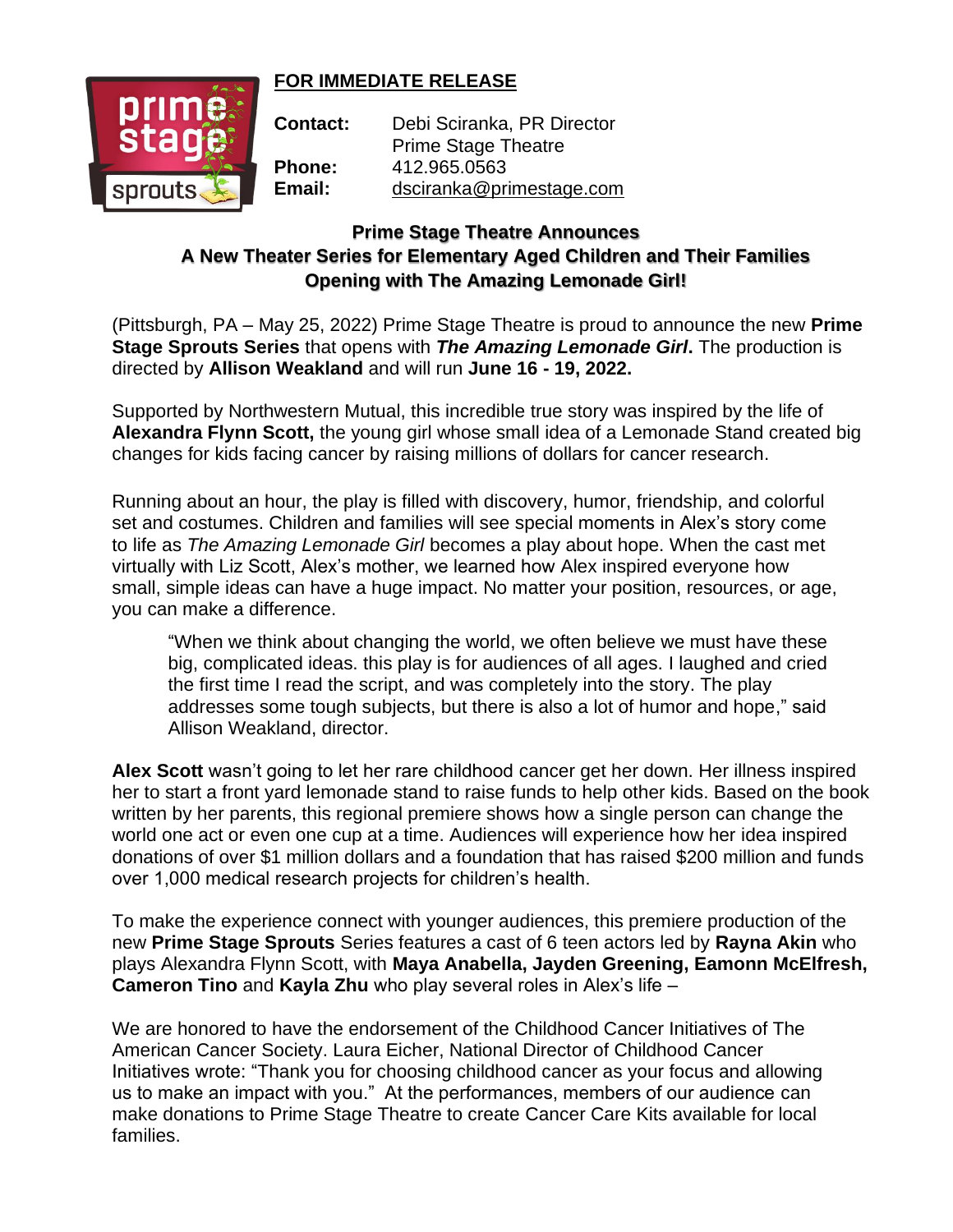## **FOR IMMEDIATE RELEASE**



**Contact:** Debi Sciranka, PR Director Prime Stage Theatre **Phone:** 412.965.0563 **Email:** [dsciranka@primestage.com](mailto:dsciranka@primestage.com)

## **Prime Stage Theatre Announces A New Theater Series for Elementary Aged Children and Their Families Opening with The Amazing Lemonade Girl!**

(Pittsburgh, PA – May 25, 2022) Prime Stage Theatre is proud to announce the new **Prime Stage Sprouts Series** that opens with *The Amazing Lemonade Girl***.** The production is directed by **Allison Weakland** and will run **June 16 - 19, 2022.**

Supported by Northwestern Mutual, this incredible true story was inspired by the life of **Alexandra Flynn Scott,** the young girl whose small idea of a Lemonade Stand created big changes for kids facing cancer by raising millions of dollars for cancer research.

Running about an hour, the play is filled with discovery, humor, friendship, and colorful set and costumes. Children and families will see special moments in Alex's story come to life as *The Amazing Lemonade Girl* becomes a play about hope. When the cast met virtually with Liz Scott, Alex's mother, we learned how Alex inspired everyone how small, simple ideas can have a huge impact. No matter your position, resources, or age, you can make a difference.

"When we think about changing the world, we often believe we must have these big, complicated ideas. this play is for audiences of all ages. I laughed and cried the first time I read the script, and was completely into the story. The play addresses some tough subjects, but there is also a lot of humor and hope," said Allison Weakland, director.

**Alex Scott** wasn't going to let her rare childhood cancer get her down. Her illness inspired her to start a front yard lemonade stand to raise funds to help other kids. Based on the book written by her parents, this regional premiere shows how a single person can change the world one act or even one cup at a time. Audiences will experience how her idea inspired donations of over \$1 million dollars and a foundation that has raised \$200 million and funds over 1,000 medical research projects for children's health.

To make the experience connect with younger audiences, this premiere production of the new **Prime Stage Sprouts** Series features a cast of 6 teen actors led by **Rayna Akin** who plays Alexandra Flynn Scott, with **Maya Anabella, Jayden Greening, Eamonn McElfresh, Cameron Tino** and **Kayla Zhu** who play several roles in Alex's life –

We are honored to have the endorsement of the Childhood Cancer Initiatives of The American Cancer Society. Laura Eicher, National Director of Childhood Cancer Initiatives wrote: "Thank you for choosing childhood cancer as your focus and allowing us to make an impact with you." At the performances, members of our audience can make donations to Prime Stage Theatre to create Cancer Care Kits available for local families.